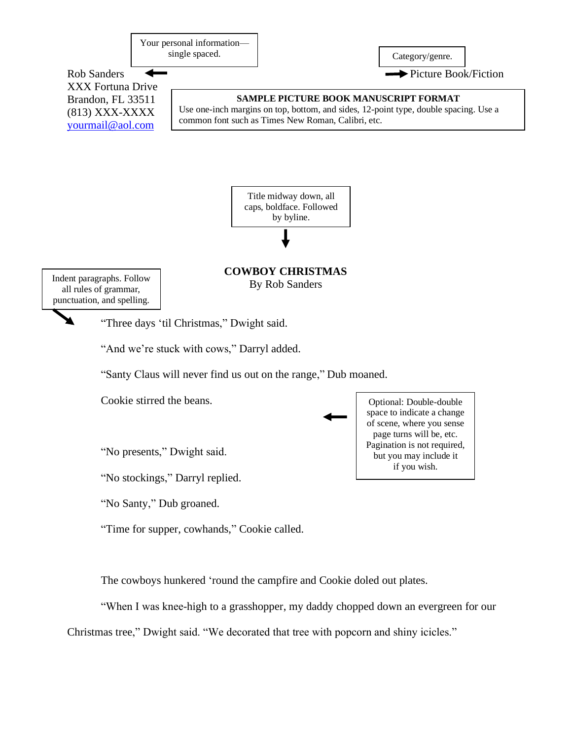Your personal information single spaced. Category/genre.

Rob Sanders  $\leftarrow$  Picture Book/Fiction XXX Fortuna Drive Brandon, FL 33511 (813) XXX-XXXX [yourmail@aol.com](mailto:yourmail@aol.com)



Use one-inch margins on top, bottom, and sides, 12-point type, double spacing. Use a common font such as Times New Roman, Calibri, etc.



**COWBOY CHRISTMAS** By Rob Sanders

Indent paragraphs. Follow all rules of grammar, punctuation, and spelling.

"Three days 'til Christmas," Dwight said.

"And we're stuck with cows," Darryl added.

"Santy Claus will never find us out on the range," Dub moaned.

Cookie stirred the beans.

"No presents," Dwight said.

"No stockings," Darryl replied.

"No Santy," Dub groaned.

"Time for supper, cowhands," Cookie called.

The cowboys hunkered 'round the campfire and Cookie doled out plates.

"When I was knee-high to a grasshopper, my daddy chopped down an evergreen for our

Christmas tree," Dwight said. "We decorated that tree with popcorn and shiny icicles."

Optional: Double-double space to indicate a change of scene, where you sense page turns will be, etc. Pagination is not required, but you may include it if you wish.